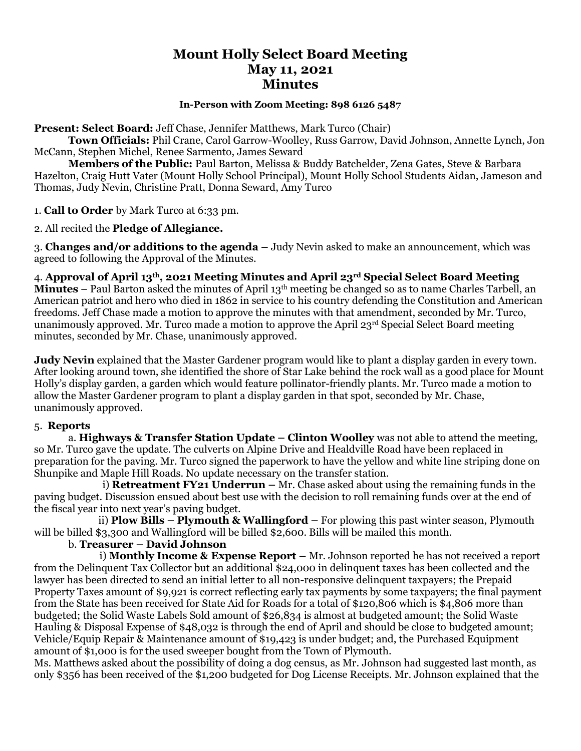# **Mount Holly Select Board Meeting May 11, 2021 Minutes**

#### **In-Person with Zoom Meeting: 898 6126 5487**

**Present: Select Board:** Jeff Chase, Jennifer Matthews, Mark Turco (Chair)

**Town Officials:** Phil Crane, Carol Garrow-Woolley, Russ Garrow, David Johnson, Annette Lynch, Jon McCann, Stephen Michel, Renee Sarmento, James Seward

**Members of the Public:** Paul Barton, Melissa & Buddy Batchelder, Zena Gates, Steve & Barbara Hazelton, Craig Hutt Vater (Mount Holly School Principal), Mount Holly School Students Aidan, Jameson and Thomas, Judy Nevin, Christine Pratt, Donna Seward, Amy Turco

1. **Call to Order** by Mark Turco at 6:33 pm.

2. All recited the **Pledge of Allegiance.**

3. **Changes and/or additions to the agenda –** Judy Nevin asked to make an announcement, which was agreed to following the Approval of the Minutes.

4. **Approval of April 13th, 2021 Meeting Minutes and April 23rd Special Select Board Meeting** 

**Minutes** – Paul Barton asked the minutes of April 13<sup>th</sup> meeting be changed so as to name Charles Tarbell, an American patriot and hero who died in 1862 in service to his country defending the Constitution and American freedoms. Jeff Chase made a motion to approve the minutes with that amendment, seconded by Mr. Turco, unanimously approved. Mr. Turco made a motion to approve the April  $23<sup>rd</sup>$  Special Select Board meeting minutes, seconded by Mr. Chase, unanimously approved.

**Judy Nevin** explained that the Master Gardener program would like to plant a display garden in every town. After looking around town, she identified the shore of Star Lake behind the rock wall as a good place for Mount Holly's display garden, a garden which would feature pollinator-friendly plants. Mr. Turco made a motion to allow the Master Gardener program to plant a display garden in that spot, seconded by Mr. Chase, unanimously approved.

#### 5. **Reports**

a. **Highways & Transfer Station Update – Clinton Woolley** was not able to attend the meeting, so Mr. Turco gave the update. The culverts on Alpine Drive and Healdville Road have been replaced in preparation for the paving. Mr. Turco signed the paperwork to have the yellow and white line striping done on Shunpike and Maple Hill Roads. No update necessary on the transfer station.

i) **Retreatment FY21 Underrun –** Mr. Chase asked about using the remaining funds in the paving budget. Discussion ensued about best use with the decision to roll remaining funds over at the end of the fiscal year into next year's paving budget.

 ii) **Plow Bills – Plymouth & Wallingford –** For plowing this past winter season, Plymouth will be billed \$3,300 and Wallingford will be billed \$2,600. Bills will be mailed this month.

## b. **Treasurer – David Johnson**

 i) **Monthly Income & Expense Report –** Mr. Johnson reported he has not received a report from the Delinquent Tax Collector but an additional \$24,000 in delinquent taxes has been collected and the lawyer has been directed to send an initial letter to all non-responsive delinquent taxpayers; the Prepaid Property Taxes amount of \$9,921 is correct reflecting early tax payments by some taxpayers; the final payment from the State has been received for State Aid for Roads for a total of \$120,806 which is \$4,806 more than budgeted; the Solid Waste Labels Sold amount of \$26,834 is almost at budgeted amount; the Solid Waste Hauling & Disposal Expense of \$48,032 is through the end of April and should be close to budgeted amount; Vehicle/Equip Repair & Maintenance amount of \$19,423 is under budget; and, the Purchased Equipment amount of \$1,000 is for the used sweeper bought from the Town of Plymouth.

Ms. Matthews asked about the possibility of doing a dog census, as Mr. Johnson had suggested last month, as only \$356 has been received of the \$1,200 budgeted for Dog License Receipts. Mr. Johnson explained that the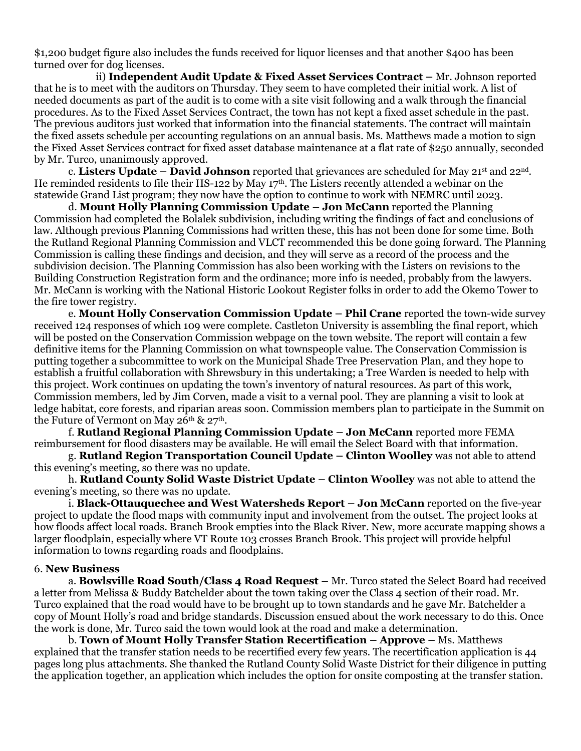\$1,200 budget figure also includes the funds received for liquor licenses and that another \$400 has been turned over for dog licenses.

 ii) **Independent Audit Update & Fixed Asset Services Contract –** Mr. Johnson reported that he is to meet with the auditors on Thursday. They seem to have completed their initial work. A list of needed documents as part of the audit is to come with a site visit following and a walk through the financial procedures. As to the Fixed Asset Services Contract, the town has not kept a fixed asset schedule in the past. The previous auditors just worked that information into the financial statements. The contract will maintain the fixed assets schedule per accounting regulations on an annual basis. Ms. Matthews made a motion to sign the Fixed Asset Services contract for fixed asset database maintenance at a flat rate of \$250 annually, seconded by Mr. Turco, unanimously approved.

c. **Listers Update – David Johnson** reported that grievances are scheduled for May 21st and 22nd . He reminded residents to file their HS-122 by May  $17<sup>th</sup>$ . The Listers recently attended a webinar on the statewide Grand List program; they now have the option to continue to work with NEMRC until 2023.

d. **Mount Holly Planning Commission Update – Jon McCann** reported the Planning Commission had completed the Bolalek subdivision, including writing the findings of fact and conclusions of law. Although previous Planning Commissions had written these, this has not been done for some time. Both the Rutland Regional Planning Commission and VLCT recommended this be done going forward. The Planning Commission is calling these findings and decision, and they will serve as a record of the process and the subdivision decision. The Planning Commission has also been working with the Listers on revisions to the Building Construction Registration form and the ordinance; more info is needed, probably from the lawyers. Mr. McCann is working with the National Historic Lookout Register folks in order to add the Okemo Tower to the fire tower registry.

e. **Mount Holly Conservation Commission Update – Phil Crane** reported the town-wide survey received 124 responses of which 109 were complete. Castleton University is assembling the final report, which will be posted on the Conservation Commission webpage on the town website. The report will contain a few definitive items for the Planning Commission on what townspeople value. The Conservation Commission is putting together a subcommittee to work on the Municipal Shade Tree Preservation Plan, and they hope to establish a fruitful collaboration with Shrewsbury in this undertaking; a Tree Warden is needed to help with this project. Work continues on updating the town's inventory of natural resources. As part of this work, Commission members, led by Jim Corven, made a visit to a vernal pool. They are planning a visit to look at ledge habitat, core forests, and riparian areas soon. Commission members plan to participate in the Summit on the Future of Vermont on May  $26<sup>th</sup>$  &  $27<sup>th</sup>$ .

f. **Rutland Regional Planning Commission Update – Jon McCann** reported more FEMA reimbursement for flood disasters may be available. He will email the Select Board with that information.

g. **Rutland Region Transportation Council Update – Clinton Woolley** was not able to attend this evening's meeting, so there was no update.

h. **Rutland County Solid Waste District Update – Clinton Woolley** was not able to attend the evening's meeting, so there was no update.

i. **Black-Ottauquechee and West Watersheds Report – Jon McCann** reported on the five-year project to update the flood maps with community input and involvement from the outset. The project looks at how floods affect local roads. Branch Brook empties into the Black River. New, more accurate mapping shows a larger floodplain, especially where VT Route 103 crosses Branch Brook. This project will provide helpful information to towns regarding roads and floodplains.

#### 6. **New Business**

a. **Bowlsville Road South/Class 4 Road Request –** Mr. Turco stated the Select Board had received a letter from Melissa & Buddy Batchelder about the town taking over the Class 4 section of their road. Mr. Turco explained that the road would have to be brought up to town standards and he gave Mr. Batchelder a copy of Mount Holly's road and bridge standards. Discussion ensued about the work necessary to do this. Once the work is done, Mr. Turco said the town would look at the road and make a determination.

b. **Town of Mount Holly Transfer Station Recertification – Approve –** Ms. Matthews explained that the transfer station needs to be recertified every few years. The recertification application is 44 pages long plus attachments. She thanked the Rutland County Solid Waste District for their diligence in putting the application together, an application which includes the option for onsite composting at the transfer station.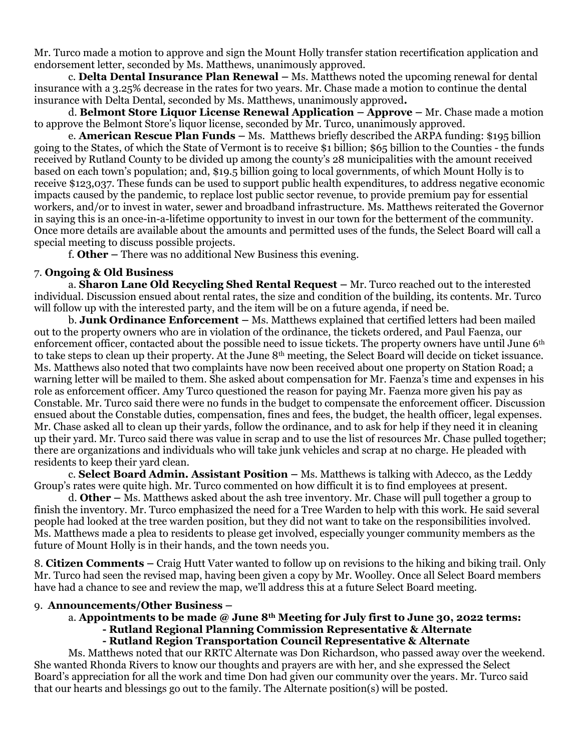Mr. Turco made a motion to approve and sign the Mount Holly transfer station recertification application and endorsement letter, seconded by Ms. Matthews, unanimously approved.

c. **Delta Dental Insurance Plan Renewal –** Ms. Matthews noted the upcoming renewal for dental insurance with a 3.25% decrease in the rates for two years. Mr. Chase made a motion to continue the dental insurance with Delta Dental, seconded by Ms. Matthews, unanimously approved**.** 

d. **Belmont Store Liquor License Renewal Application – Approve –** Mr. Chase made a motion to approve the Belmont Store's liquor license, seconded by Mr. Turco, unanimously approved.

e. **American Rescue Plan Funds –** Ms. Matthews briefly described the ARPA funding: \$195 billion going to the States, of which the State of Vermont is to receive \$1 billion; \$65 billion to the Counties - the funds received by Rutland County to be divided up among the county's 28 municipalities with the amount received based on each town's population; and, \$19.5 billion going to local governments, of which Mount Holly is to receive \$123,037. These funds can be used to support public health expenditures, to address negative economic impacts caused by the pandemic, to replace lost public sector revenue, to provide premium pay for essential workers, and/or to invest in water, sewer and broadband infrastructure. Ms. Matthews reiterated the Governor in saying this is an once-in-a-lifetime opportunity to invest in our town for the betterment of the community. Once more details are available about the amounts and permitted uses of the funds, the Select Board will call a special meeting to discuss possible projects.

f. **Other –** There was no additional New Business this evening.

#### 7. **Ongoing & Old Business**

a. **Sharon Lane Old Recycling Shed Rental Request –** Mr. Turco reached out to the interested individual. Discussion ensued about rental rates, the size and condition of the building, its contents. Mr. Turco will follow up with the interested party, and the item will be on a future agenda, if need be.

b. **Junk Ordinance Enforcement –** Ms. Matthews explained that certified letters had been mailed out to the property owners who are in violation of the ordinance, the tickets ordered, and Paul Faenza, our enforcement officer, contacted about the possible need to issue tickets. The property owners have until June 6<sup>th</sup> to take steps to clean up their property. At the June 8th meeting, the Select Board will decide on ticket issuance. Ms. Matthews also noted that two complaints have now been received about one property on Station Road; a warning letter will be mailed to them. She asked about compensation for Mr. Faenza's time and expenses in his role as enforcement officer. Amy Turco questioned the reason for paying Mr. Faenza more given his pay as Constable. Mr. Turco said there were no funds in the budget to compensate the enforcement officer. Discussion ensued about the Constable duties, compensation, fines and fees, the budget, the health officer, legal expenses. Mr. Chase asked all to clean up their yards, follow the ordinance, and to ask for help if they need it in cleaning up their yard. Mr. Turco said there was value in scrap and to use the list of resources Mr. Chase pulled together; there are organizations and individuals who will take junk vehicles and scrap at no charge. He pleaded with residents to keep their yard clean.

c. **Select Board Admin. Assistant Position –** Ms. Matthews is talking with Adecco, as the Leddy Group's rates were quite high. Mr. Turco commented on how difficult it is to find employees at present.

d. **Other –** Ms. Matthews asked about the ash tree inventory. Mr. Chase will pull together a group to finish the inventory. Mr. Turco emphasized the need for a Tree Warden to help with this work. He said several people had looked at the tree warden position, but they did not want to take on the responsibilities involved. Ms. Matthews made a plea to residents to please get involved, especially younger community members as the future of Mount Holly is in their hands, and the town needs you.

8. **Citizen Comments –** Craig Hutt Vater wanted to follow up on revisions to the hiking and biking trail. Only Mr. Turco had seen the revised map, having been given a copy by Mr. Woolley. Once all Select Board members have had a chance to see and review the map, we'll address this at a future Select Board meeting.

#### 9. **Announcements/Other Business –**

#### a. **Appointments to be made @ June 8th Meeting for July first to June 30, 2022 terms:**

# **- Rutland Regional Planning Commission Representative & Alternate**

### **- Rutland Region Transportation Council Representative & Alternate**

Ms. Matthews noted that our RRTC Alternate was Don Richardson, who passed away over the weekend. She wanted Rhonda Rivers to know our thoughts and prayers are with her, and she expressed the Select Board's appreciation for all the work and time Don had given our community over the years. Mr. Turco said that our hearts and blessings go out to the family. The Alternate position(s) will be posted.